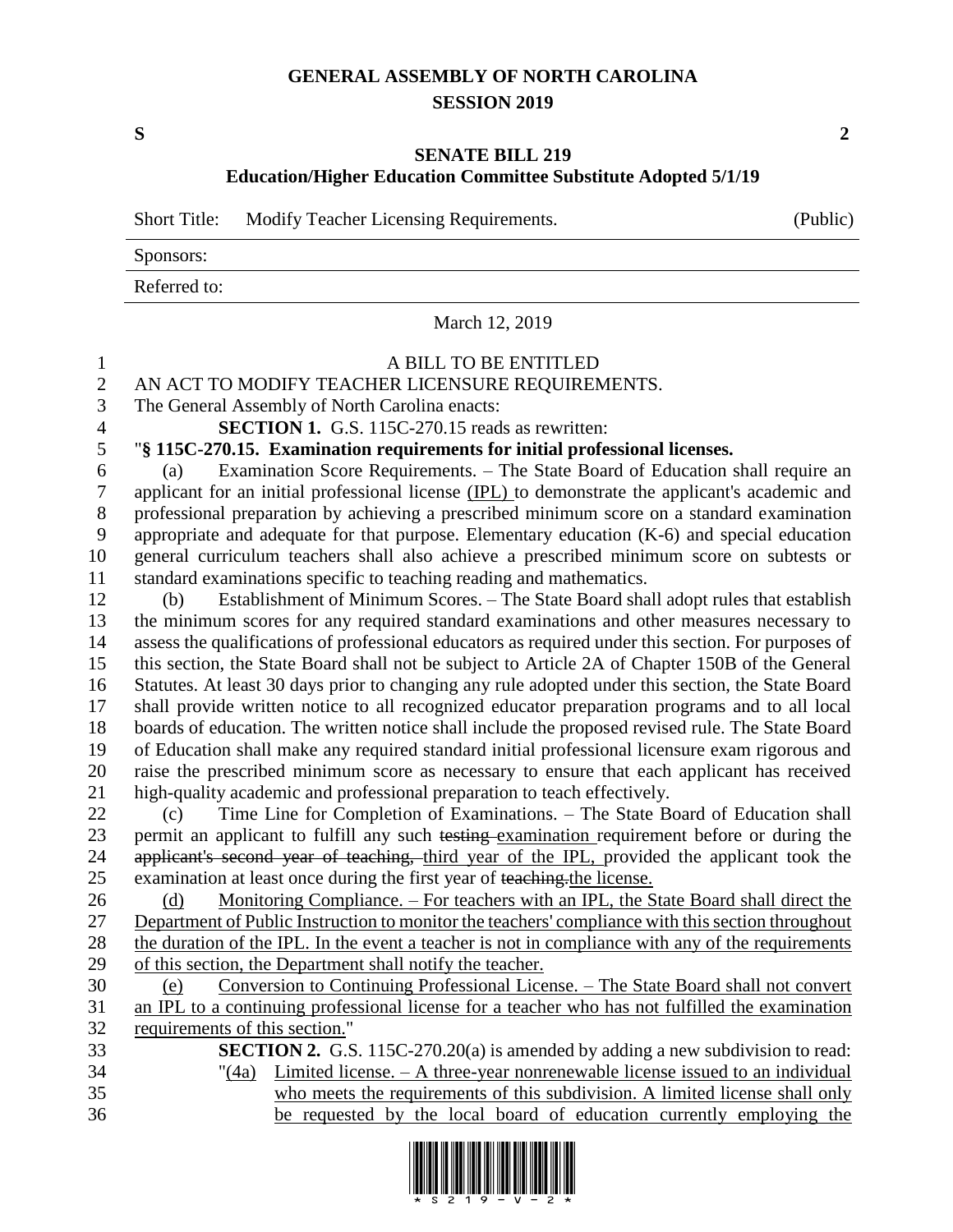## **GENERAL ASSEMBLY OF NORTH CAROLINA SESSION 2019**

**S 2**

## **SENATE BILL 219**

**Education/Higher Education Committee Substitute Adopted 5/1/19**

|              | Short Title: Modify Teacher Licensing Requirements. | (Public) |
|--------------|-----------------------------------------------------|----------|
| Sponsors:    |                                                     |          |
| Referred to: |                                                     |          |
|              |                                                     |          |

March 12, 2019 A BILL TO BE ENTITLED 2 AN ACT TO MODIFY TEACHER LICENSURE REQUIREMENTS.<br>3 The General Assembly of North Carolina enacts: The General Assembly of North Carolina enacts: **SECTION 1.** G.S. 115C-270.15 reads as rewritten: "**§ 115C-270.15. Examination requirements for initial professional licenses.** (a) Examination Score Requirements. – The State Board of Education shall require an applicant for an initial professional license (IPL) to demonstrate the applicant's academic and professional preparation by achieving a prescribed minimum score on a standard examination appropriate and adequate for that purpose. Elementary education (K-6) and special education general curriculum teachers shall also achieve a prescribed minimum score on subtests or standard examinations specific to teaching reading and mathematics. (b) Establishment of Minimum Scores. – The State Board shall adopt rules that establish the minimum scores for any required standard examinations and other measures necessary to assess the qualifications of professional educators as required under this section. For purposes of this section, the State Board shall not be subject to Article 2A of Chapter 150B of the General Statutes. At least 30 days prior to changing any rule adopted under this section, the State Board shall provide written notice to all recognized educator preparation programs and to all local boards of education. The written notice shall include the proposed revised rule. The State Board of Education shall make any required standard initial professional licensure exam rigorous and raise the prescribed minimum score as necessary to ensure that each applicant has received high-quality academic and professional preparation to teach effectively. (c) Time Line for Completion of Examinations. – The State Board of Education shall 23 permit an applicant to fulfill any such testing examination requirement before or during the 24 applicant's second year of teaching, third year of the IPL, provided the applicant took the examination at least once during the first year of teaching.the license. 26 (d) Monitoring Compliance. – For teachers with an IPL, the State Board shall direct the 27 Department of Public Instruction to monitor the teachers' compliance with this section throughout the duration of the IPL. In the event a teacher is not in compliance with any of the requirements of this section, the Department shall notify the teacher. (e) Conversion to Continuing Professional License. – The State Board shall not convert an IPL to a continuing professional license for a teacher who has not fulfilled the examination requirements of this section." **SECTION 2.** G.S. 115C-270.20(a) is amended by adding a new subdivision to read: "(4a) Limited license. – A three-year nonrenewable license issued to an individual who meets the requirements of this subdivision. A limited license shall only



be requested by the local board of education currently employing the